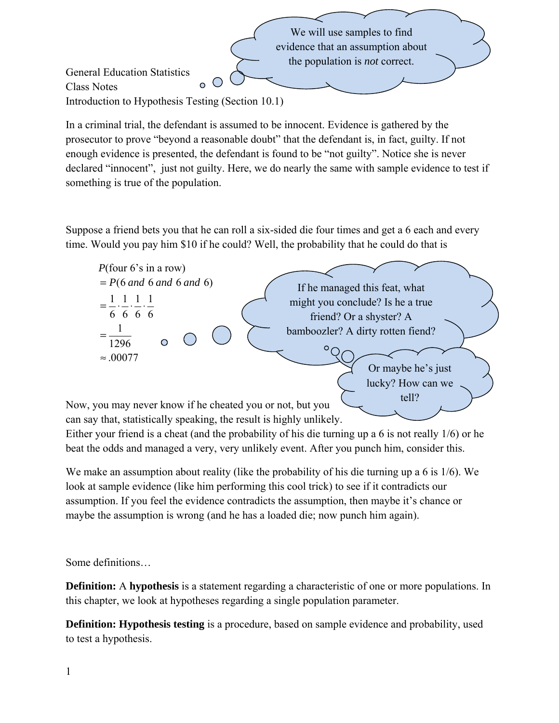We will use samples to find evidence that an assumption about the population is *not* correct. General Education Statistics  $\overline{O}$ Class Notes Introduction to Hypothesis Testing (Section 10.1)

In a criminal trial, the defendant is assumed to be innocent. Evidence is gathered by the prosecutor to prove "beyond a reasonable doubt" that the defendant is, in fact, guilty. If not enough evidence is presented, the defendant is found to be "not guilty". Notice she is never declared "innocent", just not guilty. Here, we do nearly the same with sample evidence to test if something is true of the population.

Suppose a friend bets you that he can roll a six-sided die four times and get a 6 each and every time. Would you pay him \$10 if he could? Well, the probability that he could do that is



Now, you may never know if he cheated you or not, but you can say that, statistically speaking, the result is highly unlikely.

Either your friend is a cheat (and the probability of his die turning up a 6 is not really 1/6) or he beat the odds and managed a very, very unlikely event. After you punch him, consider this.

We make an assumption about reality (like the probability of his die turning up a 6 is 1/6). We look at sample evidence (like him performing this cool trick) to see if it contradicts our assumption. If you feel the evidence contradicts the assumption, then maybe it's chance or maybe the assumption is wrong (and he has a loaded die; now punch him again).

Some definitions…

**Definition:** A **hypothesis** is a statement regarding a characteristic of one or more populations. In this chapter, we look at hypotheses regarding a single population parameter.

**Definition: Hypothesis testing** is a procedure, based on sample evidence and probability, used to test a hypothesis.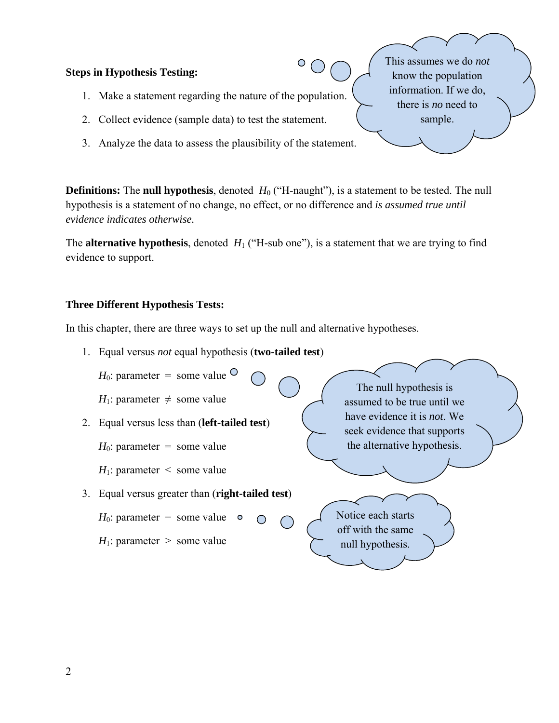#### **Steps in Hypothesis Testing:**

- 1. Make a statement regarding the nature of the population.
- 2. Collect evidence (sample data) to test the statement.
- 3. Analyze the data to assess the plausibility of the statement.

**Definitions:** The **null hypothesis**, denoted  $H_0$  ("H-naught"), is a statement to be tested. The null hypothesis is a statement of no change, no effect, or no difference and *is assumed true until evidence indicates otherwise.* 

The **alternative hypothesis**, denoted  $H_1$  ("H-sub one"), is a statement that we are trying to find evidence to support.

#### **Three Different Hypothesis Tests:**

In this chapter, there are three ways to set up the null and alternative hypotheses.

1. Equal versus *not* equal hypothesis (**two-tailed test**)



This assumes we do *not* know the population information. If we do, there is *no* need to sample.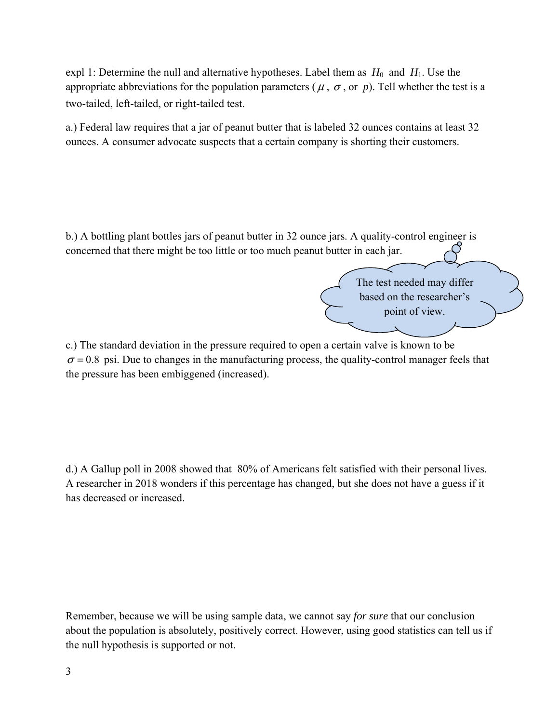expl 1: Determine the null and alternative hypotheses. Label them as  $H_0$  and  $H_1$ . Use the appropriate abbreviations for the population parameters ( $\mu$ ,  $\sigma$ , or  $p$ ). Tell whether the test is a two-tailed, left-tailed, or right-tailed test.

a.) Federal law requires that a jar of peanut butter that is labeled 32 ounces contains at least 32 ounces. A consumer advocate suspects that a certain company is shorting their customers.

b.) A bottling plant bottles jars of peanut butter in 32 ounce jars. A quality-control engineer is concerned that there might be too little or too much peanut butter in each jar.

> The test needed may differ based on the researcher's point of view.

c.) The standard deviation in the pressure required to open a certain valve is known to be  $\sigma$  = 0.8 psi. Due to changes in the manufacturing process, the quality-control manager feels that the pressure has been embiggened (increased).

d.) A Gallup poll in 2008 showed that 80% of Americans felt satisfied with their personal lives. A researcher in 2018 wonders if this percentage has changed, but she does not have a guess if it has decreased or increased.

Remember, because we will be using sample data, we cannot say *for sure* that our conclusion about the population is absolutely, positively correct. However, using good statistics can tell us if the null hypothesis is supported or not.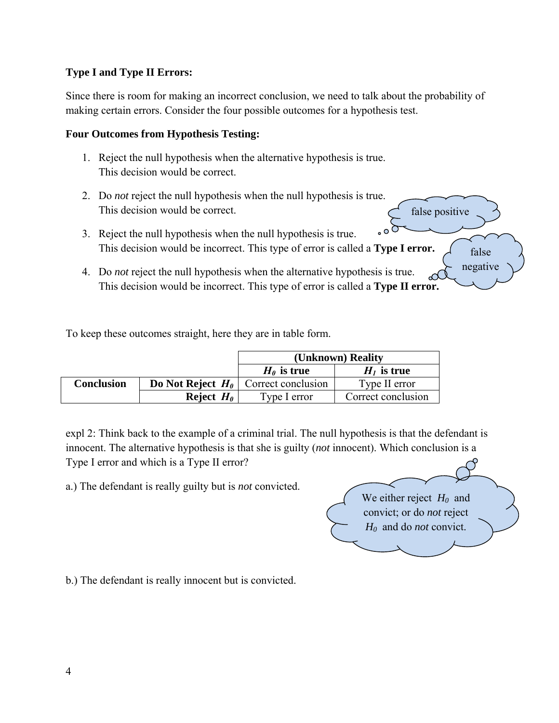## **Type I and Type II Errors:**

Since there is room for making an incorrect conclusion, we need to talk about the probability of making certain errors. Consider the four possible outcomes for a hypothesis test.

### **Four Outcomes from Hypothesis Testing:**

- 1. Reject the null hypothesis when the alternative hypothesis is true. This decision would be correct.
- 2. Do *not* reject the null hypothesis when the null hypothesis is true. This decision would be correct. false positive
- 3. Reject the null hypothesis when the null hypothesis is true. This decision would be incorrect. This type of error is called a **Type I error.** false
- 4. Do *not* reject the null hypothesis when the alternative hypothesis is true. This decision would be incorrect. This type of error is called a **Type II error.**

To keep these outcomes straight, here they are in table form.

|            |                     | (Unknown) Reality                             |                    |
|------------|---------------------|-----------------------------------------------|--------------------|
|            |                     | $H_{\theta}$ is true                          | $HI$ is true       |
| Conclusion |                     | <b>Do Not Reject</b> $H_0$ Correct conclusion | Type II error      |
|            | Reject $H_{\theta}$ | Type I error                                  | Correct conclusion |

expl 2: Think back to the example of a criminal trial. The null hypothesis is that the defendant is innocent. The alternative hypothesis is that she is guilty (*not* innocent). Which conclusion is a Type I error and which is a Type II error?

a.) The defendant is really guilty but is *not* convicted.

We either reject  $H_0$  and convict; or do *not* reject *H0* and do *not* convict.

negative

b.) The defendant is really innocent but is convicted.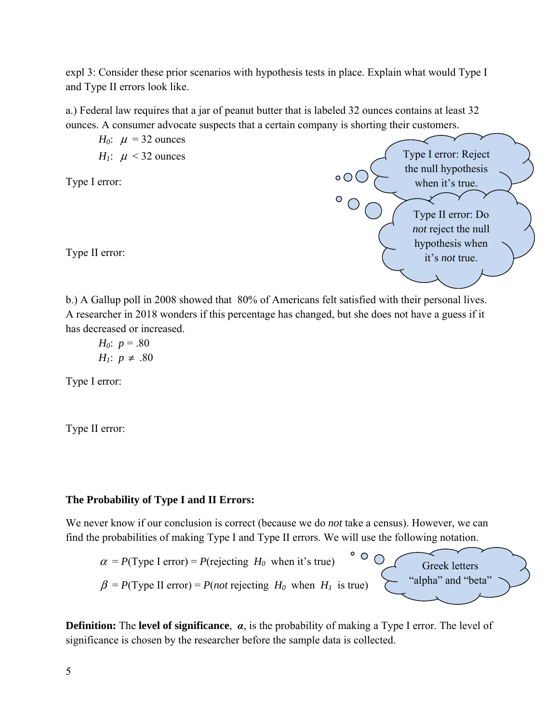expl 3: Consider these prior scenarios with hypothesis tests in place. Explain what would Type I and Type II errors look like.

a.) Federal law requires that a jar of peanut butter that is labeled 32 ounces contains at least 32 ounces. A consumer advocate suspects that a certain company is shorting their customers.

*H<sub>0</sub>*:  $\mu$  = 32 ounces *H<sub>1</sub>*:  $\mu$  < 32 ounces

Type I error:

Type II error:



b.) A Gallup poll in 2008 showed that 80% of Americans felt satisfied with their personal lives. A researcher in 2018 wonders if this percentage has changed, but she does not have a guess if it has decreased or increased.

*H*<sub>0</sub>:  $p = .80$ *H<sub>1</sub>*:  $p \neq .80$ 

Type I error:

Type II error:

# **The Probability of Type I and II Errors:**

We never know if our conclusion is correct (because we do *not* take a census). However, we can find the probabilities of making Type I and Type II errors. We will use the following notation.



**Definition:** The **level of significance**, *α*, is the probability of making a Type I error. The level of significance is chosen by the researcher before the sample data is collected.